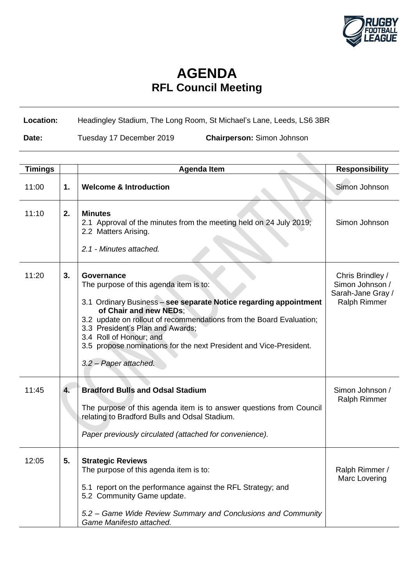

## **AGENDA RFL Council Meeting**

## **Location:** Headingley Stadium, The Long Room, St Michael's Lane, Leeds, LS6 3BR

**Date:** Tuesday 17 December 2019 **Chairperson:** Simon Johnson

| <b>Timings</b> |    | <b>Agenda Item</b>                                                                                                                                                                                                                                                                                                                                                                       | <b>Responsibility</b>                                                           |
|----------------|----|------------------------------------------------------------------------------------------------------------------------------------------------------------------------------------------------------------------------------------------------------------------------------------------------------------------------------------------------------------------------------------------|---------------------------------------------------------------------------------|
| 11:00          | 1. | <b>Welcome &amp; Introduction</b>                                                                                                                                                                                                                                                                                                                                                        | Simon Johnson                                                                   |
| 11:10          | 2. | <b>Minutes</b><br>2.1 Approval of the minutes from the meeting held on 24 July 2019;<br>2.2 Matters Arising.<br>2.1 - Minutes attached.                                                                                                                                                                                                                                                  | Simon Johnson                                                                   |
| 11:20          | 3. | Governance<br>The purpose of this agenda item is to:<br>3.1 Ordinary Business - see separate Notice regarding appointment<br>of Chair and new NEDs;<br>3.2 update on rollout of recommendations from the Board Evaluation;<br>3.3 President's Plan and Awards;<br>3.4 Roll of Honour; and<br>3.5 propose nominations for the next President and Vice-President.<br>3.2 - Paper attached. | Chris Brindley /<br>Simon Johnson /<br>Sarah-Jane Gray /<br><b>Ralph Rimmer</b> |
| 11:45          | 4. | <b>Bradford Bulls and Odsal Stadium</b><br>The purpose of this agenda item is to answer questions from Council<br>relating to Bradford Bulls and Odsal Stadium.<br>Paper previously circulated (attached for convenience).                                                                                                                                                               | Simon Johnson /<br><b>Ralph Rimmer</b>                                          |
| 12:05          | 5. | <b>Strategic Reviews</b><br>The purpose of this agenda item is to:<br>5.1 report on the performance against the RFL Strategy; and<br>5.2 Community Game update.<br>5.2 – Game Wide Review Summary and Conclusions and Community<br>Game Manifesto attached.                                                                                                                              | Ralph Rimmer /<br>Marc Lovering                                                 |